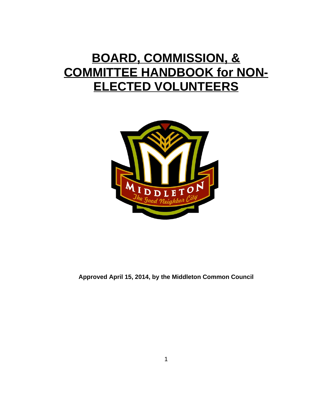# **BOARD, COMMISSION, & COMMITTEE HANDBOOK for NON-ELECTED VOLUNTEERS**



**Approved April 15, 2014, by the Middleton Common Council**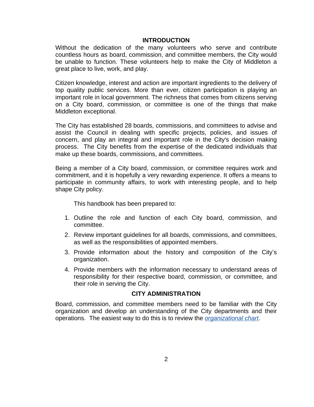## **INTRODUCTION**

Without the dedication of the many volunteers who serve and contribute countless hours as board, commission, and committee members, the City would be unable to function. These volunteers help to make the City of Middleton a great place to live, work, and play.

Citizen knowledge, interest and action are important ingredients to the delivery of top quality public services. More than ever, citizen participation is playing an important role in local government. The richness that comes from citizens serving on a City board, commission, or committee is one of the things that make Middleton exceptional.

The City has established 28 boards, commissions, and committees to advise and assist the Council in dealing with specific projects, policies, and issues of concern, and play an integral and important role in the City's decision making process. The City benefits from the expertise of the dedicated individuals that make up these boards, commissions, and committees.

Being a member of a City board, commission, or committee requires work and commitment, and it is hopefully a very rewarding experience. It offers a means to participate in community affairs, to work with interesting people, and to help shape City policy.

This handbook has been prepared to:

- 1. Outline the role and function of each City board, commission, and committee.
- 2. Review important guidelines for all boards, commissions, and committees, as well as the responsibilities of appointed members.
- 3. Provide information about the history and composition of the City's organization.
- 4. Provide members with the information necessary to understand areas of responsibility for their respective board, commission, or committee, and their role in serving the City.

## **CITY ADMINISTRATION**

Board, commission, and committee members need to be familiar with the City [organization](http://www.monterey.org/en-us/aboutmonterey/organizationchart.aspx) and develop an understanding of the City departments and their operations. The easiest way to do this is to review the *[organizational chart](https://cityofmiddleton.us/DocumentCenter/View/470)*.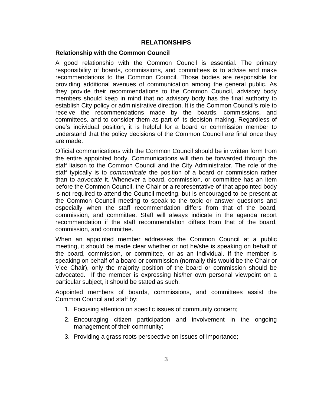## **RELATIONSHIPS**

## **Relationship with the Common Council**

A good relationship with the Common Council is essential. The primary responsibility of boards, commissions, and committees is to advise and make recommendations to the Common Council. Those bodies are responsible for providing additional avenues of communication among the general public. As they provide their recommendations to the Common Council, advisory body members should keep in mind that no advisory body has the final authority to establish City policy or administrative direction. It is the Common Council's role to receive the recommendations made by the boards, commissions, and committees, and to consider them as part of its decision making. Regardless of one's individual position, it is helpful for a board or commission member to understand that the policy decisions of the Common Council are final once they are made.

Official communications with the Common Council should be in written form from the entire appointed body. Communications will then be forwarded through the staff liaison to the Common Council and the City Administrator. The role of the staff typically is to *communicate* the position of a board or commission rather than to *advocate* it. Whenever a board, commission, or committee has an item before the Common Council, the Chair or a representative of that appointed body is not required to attend the Council meeting, but is encouraged to be present at the Common Council meeting to speak to the topic or answer questions and especially when the staff recommendation differs from that of the board, commission, and committee. Staff will always indicate in the agenda report recommendation if the staff recommendation differs from that of the board, commission, and committee.

When an appointed member addresses the Common Council at a public meeting, it should be made clear whether or not he/she is speaking on behalf of the board, commission, or committee, or as an individual. If the member is speaking on behalf of a board or commission (normally this would be the Chair or Vice Chair), only the majority position of the board or commission should be advocated. If the member is expressing his/her own personal viewpoint on a particular subject, it should be stated as such.

Appointed members of boards, commissions, and committees assist the Common Council and staff by:

- 1. Focusing attention on specific issues of community concern;
- 2. Encouraging citizen participation and involvement in the ongoing management of their community;
- 3. Providing a grass roots perspective on issues of importance;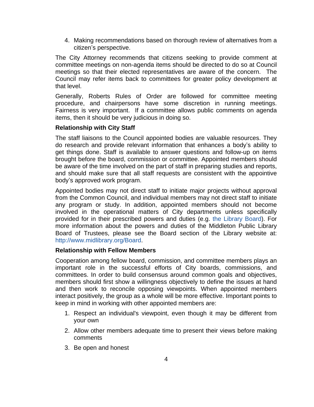4. Making recommendations based on thorough review of alternatives from a citizen's perspective.

The City Attorney recommends that citizens seeking to provide comment at committee meetings on non-agenda items should be directed to do so at Council meetings so that their elected representatives are aware of the concern. The Council may refer items back to committees for greater policy development at that level.

Generally, Roberts Rules of Order are followed for committee meeting procedure, and chairpersons have some discretion in running meetings. Fairness is very important. If a committee allows public comments on agenda items, then it should be very judicious in doing so.

## **Relationship with City Staff**

The staff liaisons to the Council appointed bodies are valuable resources. They do research and provide relevant information that enhances a body's ability to get things done. Staff is available to answer questions and follow-up on items brought before the board, commission or committee. Appointed members should be aware of the time involved on the part of staff in preparing studies and reports, and should make sure that all staff requests are consistent with the appointive body's approved work program.

Appointed bodies may not direct staff to initiate major projects without approval from the Common Council, and individual members may not direct staff to initiate any program or study. In addition, appointed members should not become involved in the operational matters of City departments unless specifically provided for in their prescribed powers and duties (e.g. the [Library](http://www.midlibrary.org/Portals/0/publicdocs/LibraryBoard/Duties.pdf) Board). For more information about the powers and duties of the Middleton Public Library Board of Trustees, please see the Board section of the Library website at: <http://www.midlibrary.org/Board>.

## **Relationship with Fellow Members**

Cooperation among fellow board, commission, and committee members plays an important role in the successful efforts of City boards, commissions, and committees. In order to build consensus around common goals and objectives, members should first show a willingness objectively to define the issues at hand and then work to reconcile opposing viewpoints. When appointed members interact positively, the group as a whole will be more effective. Important points to keep in mind in working with other appointed members are:

- 1. Respect an individual's viewpoint, even though it may be different from your own
- 2. Allow other members adequate time to present their views before making comments
- 3. Be open and honest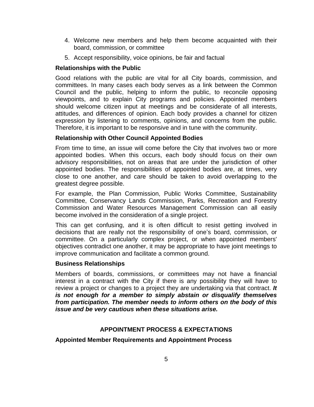- 4. Welcome new members and help them become acquainted with their board, commission, or committee
- 5. Accept responsibility, voice opinions, be fair and factual

# **Relationships with the Public**

Good relations with the public are vital for all City boards, commission, and committees. In many cases each body serves as a link between the Common Council and the public, helping to inform the public, to reconcile opposing viewpoints, and to explain City programs and policies. Appointed members should welcome citizen input at meetings and be considerate of all interests, attitudes, and differences of opinion. Each body provides a channel for citizen expression by listening to comments, opinions, and concerns from the public. Therefore, it is important to be responsive and in tune with the community.

# **Relationship with Other Council Appointed Bodies**

From time to time, an issue will come before the City that involves two or more appointed bodies. When this occurs, each body should focus on their own advisory responsibilities, not on areas that are under the jurisdiction of other appointed bodies. The responsibilities of appointed bodies are, at times, very close to one another, and care should be taken to avoid overlapping to the greatest degree possible.

For example, the Plan Commission, Public Works Committee, Sustainability Committee, Conservancy Lands Commission, Parks, Recreation and Forestry Commission and Water Resources Management Commission can all easily become involved in the consideration of a single project.

This can get confusing, and it is often difficult to resist getting involved in decisions that are really not the responsibility of one's board, commission, or committee. On a particularly complex project, or when appointed members' objectives contradict one another, it may be appropriate to have joint meetings to improve communication and facilitate a common ground.

# **Business Relationships**

Members of boards, commissions, or committees may not have a financial interest in a contract with the City if there is any possibility they will have to review a project or changes to a project they are undertaking via that contract. *It is not enough for a member to simply abstain or disqualify themselves from participation. The member needs to inform others on the body of this issue and be very cautious when these situations arise.*

# **APPOINTMENT PROCESS & EXPECTATIONS**

**Appointed Member Requirements and Appointment Process**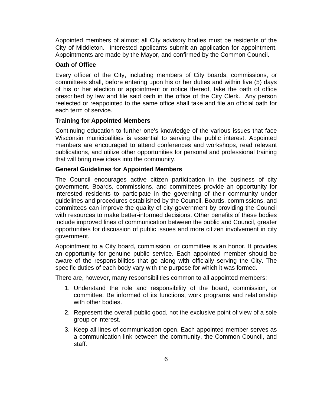Appointed members of almost all City advisory bodies must be residents of the City of Middleton. Interested applicants submit an application for appointment. Appointments are made by the Mayor, and confirmed by the Common Council.

## **Oath of Office**

Every officer of the City, including members of City boards, commissions, or committees shall, before entering upon his or her duties and within five (5) days of his or her election or appointment or notice thereof, take the oath of office prescribed by law and file said oath in the office of the City Clerk. Any person reelected or reappointed to the same office shall take and file an official oath for each term of service.

## **Training for Appointed Members**

Continuing education to further one's knowledge of the various issues that face Wisconsin municipalities is essential to serving the public interest. Appointed members are encouraged to attend conferences and workshops, read relevant publications, and utilize other opportunities for personal and professional training that will bring new ideas into the community.

## **General Guidelines for Appointed Members**

The Council encourages active citizen participation in the business of city government. Boards, commissions, and committees provide an opportunity for interested residents to participate in the governing of their community under guidelines and procedures established by the Council. Boards, commissions, and committees can improve the quality of city government by providing the Council with resources to make better-informed decisions. Other benefits of these bodies include improved lines of communication between the public and Council, greater opportunities for discussion of public issues and more citizen involvement in city government.

Appointment to a City board, commission, or committee is an honor. It provides an opportunity for genuine public service. Each appointed member should be aware of the responsibilities that go along with officially serving the City. The specific duties of each body vary with the purpose for which it was formed.

There are, however, many responsibilities common to all appointed members:

- 1. Understand the role and responsibility of the board, commission, or committee. Be informed of its functions, work programs and relationship with other bodies.
- 2. Represent the overall public good, not the exclusive point of view of a sole group or interest.
- 3. Keep all lines of communication open. Each appointed member serves as a communication link between the community, the Common Council, and staff.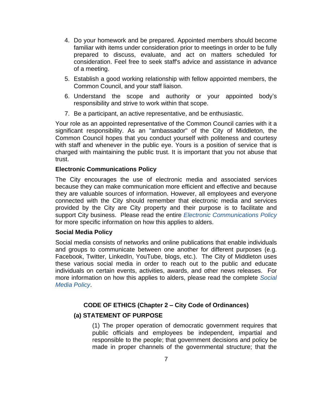- 4. Do your homework and be prepared. Appointed members should become familiar with items under consideration prior to meetings in order to be fully prepared to discuss, evaluate, and act on matters scheduled for consideration. Feel free to seek staff's advice and assistance in advance of a meeting.
- 5. Establish a good working relationship with fellow appointed members, the Common Council, and your staff liaison.
- 6. Understand the scope and authority or your appointed body's responsibility and strive to work within that scope.
- 7. Be a participant, an active representative, and be enthusiastic.

Your role as an appointed representative of the Common Council carries with it a significant responsibility. As an "ambassador" of the City of Middleton, the Common Council hopes that you conduct yourself with politeness and courtesy with staff and whenever in the public eye. Yours is a position of service that is charged with maintaining the public trust. It is important that you not abuse that trust.

# **Electronic Communications Policy**

The City encourages the use of electronic media and associated services because they can make communication more efficient and effective and because they are valuable sources of information. However, all employees and everyone connected with the City should remember that electronic media and services provided by the City are City property and their purpose is to facilitate and support City business. Please read the entire *Electronic [Communications](http://www.ci.middleton.wi.us/DocumentCenter/View/1816) Policy* for more specific information on how this applies to alders.

# **Social Media Policy**

Social media consists of networks and online publications that enable individuals and groups to communicate between one another for different purposes (e.g. Facebook, Twitter, LinkedIn, YouTube, blogs, etc.). The City of Middleton uses these various social media in order to reach out to the public and educate individuals on certain events, activities, awards, and other news releases. For more information on how this applies to alders, please read the complete *[Social](http://www.ci.middleton.wi.us/DocumentCenter/View/1815) Media Policy*.

# **CODE OF ETHICS (Chapter 2 – City Code of Ordinances)**

# **(a) STATEMENT OF PURPOSE**

(1) The proper operation of democratic government requires that public officials and employees be independent, impartial and responsible to the people; that government decisions and policy be made in proper channels of the governmental structure; that the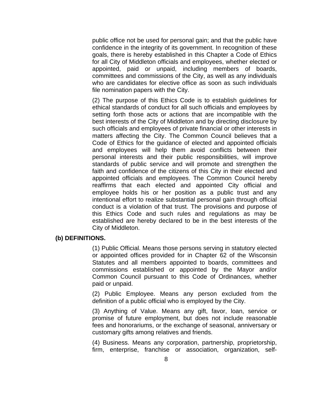public office not be used for personal gain; and that the public have confidence in the integrity of its government. In recognition of these goals, there is hereby established in this Chapter a Code of Ethics for all City of Middleton officials and employees, whether elected or appointed, paid or unpaid, including members of boards, committees and commissions of the City, as well as any individuals who are candidates for elective office as soon as such individuals file nomination papers with the City.

(2) The purpose of this Ethics Code is to establish guidelines for ethical standards of conduct for all such officials and employees by setting forth those acts or actions that are incompatible with the best interests of the City of Middleton and by directing disclosure by such officials and employees of private financial or other interests in matters affecting the City. The Common Council believes that a Code of Ethics for the guidance of elected and appointed officials and employees will help them avoid conflicts between their personal interests and their public responsibilities, will improve standards of public service and will promote and strengthen the faith and confidence of the citizens of this City in their elected and appointed officials and employees. The Common Council hereby reaffirms that each elected and appointed City official and employee holds his or her position as a public trust and any intentional effort to realize substantial personal gain through official conduct is a violation of that trust. The provisions and purpose of this Ethics Code and such rules and regulations as may be established are hereby declared to be in the best interests of the City of Middleton.

## **(b) DEFINITIONS.**

(1) Public Official. Means those persons serving in statutory elected or appointed offices provided for in Chapter 62 of the Wisconsin Statutes and all members appointed to boards, committees and commissions established or appointed by the Mayor and/or Common Council pursuant to this Code of Ordinances, whether paid or unpaid.

(2) Public Employee. Means any person excluded from the definition of a public official who is employed by the City.

(3) Anything of Value. Means any gift, favor, loan, service or promise of future employment, but does not include reasonable fees and honorariums, or the exchange of seasonal, anniversary or customary gifts among relatives and friends.

(4) Business. Means any corporation, partnership, proprietorship, firm, enterprise, franchise or association, organization, self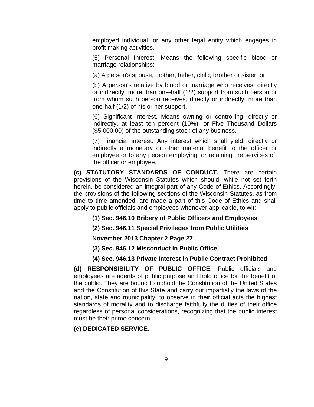employed individual, or any other legal entity which engages in profit making activities.

(5) Personal Interest. Means the following specific blood or marriage relationships:

(a) A person's spouse, mother, father, child, brother or sister; or

(b) A person's relative by blood or marriage who receives, directly or indirectly, more than one-half (1/2) support from such person or from whom such person receives, directly or indirectly, more than one-half (1/2) of his or her support.

(6) Significant Interest. Means owning or controlling, directly or indirectly, at least ten percent (10%), or Five Thousand Dollars (\$5,000.00) of the outstanding stock of any business.

(7) Financial interest. Any interest which shall yield, directly or indirectly a monetary or other material benefit to the officer or employee or to any person employing, or retaining the services of, the officer or employee.

**(c) STATUTORY STANDARDS OF CONDUCT.** There are certain provisions of the Wisconsin Statutes which should, while not set forth herein, be considered an integral part of any Code of Ethics. Accordingly, the provisions of the following sections of the Wisconsin Statutes, as from time to time amended, are made a part of this Code of Ethics and shall apply to public officials and employees whenever applicable, to wit:

**(1) Sec. 946.10 Bribery of Public Officers and Employees**

**(2) Sec. 946.11 Special Privileges from Public Utilities**

**November 2013 Chapter 2 Page 27**

**(3) Sec. 946.12 Misconduct in Public Office**

# **(4) Sec. 946.13 Private Interest in Public Contract Prohibited**

**(d) RESPONSIBILITY OF PUBLIC OFFICE.** Public officials and employees are agents of public purpose and hold office for the benefit of the public. They are bound to uphold the Constitution of the United States and the Constitution of this State and carry out impartially the laws of the nation, state and municipality, to observe in their official acts the highest standards of morality and to discharge faithfully the duties of their office regardless of personal considerations, recognizing that the public interest must be their prime concern.

**(e) DEDICATED SERVICE.**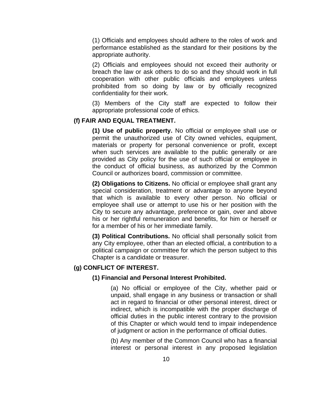(1) Officials and employees should adhere to the roles of work and performance established as the standard for their positions by the appropriate authority.

(2) Officials and employees should not exceed their authority or breach the law or ask others to do so and they should work in full cooperation with other public officials and employees unless prohibited from so doing by law or by officially recognized confidentiality for their work.

(3) Members of the City staff are expected to follow their appropriate professional code of ethics.

## **(f) FAIR AND EQUAL TREATMENT.**

**(1) Use of public property.** No official or employee shall use or permit the unauthorized use of City owned vehicles, equipment, materials or property for personal convenience or profit, except when such services are available to the public generally or are provided as City policy for the use of such official or employee in the conduct of official business, as authorized by the Common Council or authorizes board, commission or committee.

**(2) Obligations to Citizens.** No official or employee shall grant any special consideration, treatment or advantage to anyone beyond that which is available to every other person. No official or employee shall use or attempt to use his or her position with the City to secure any advantage, preference or gain, over and above his or her rightful remuneration and benefits, for him or herself or for a member of his or her immediate family.

**(3) Political Contributions.** No official shall personally solicit from any City employee, other than an elected official, a contribution to a political campaign or committee for which the person subject to this Chapter is a candidate or treasurer.

## **(g) CONFLICT OF INTEREST.**

#### **(1) Financial and Personal Interest Prohibited.**

(a) No official or employee of the City, whether paid or unpaid, shall engage in any business or transaction or shall act in regard to financial or other personal interest, direct or indirect, which is incompatible with the proper discharge of official duties in the public interest contrary to the provision of this Chapter or which would tend to impair independence of judgment or action in the performance of official duties.

(b) Any member of the Common Council who has a financial interest or personal interest in any proposed legislation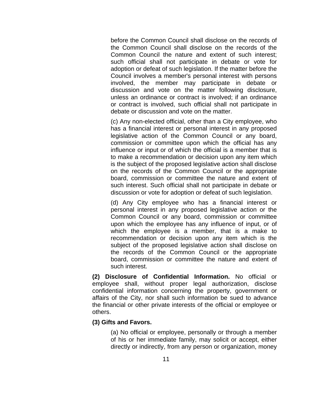before the Common Council shall disclose on the records of the Common Council shall disclose on the records of the Common Council the nature and extent of such interest; such official shall not participate in debate or vote for adoption or defeat of such legislation. If the matter before the Council involves a member's personal interest with persons involved, the member may participate in debate or discussion and vote on the matter following disclosure, unless an ordinance or contract is involved; if an ordinance or contract is involved, such official shall not participate in debate or discussion and vote on the matter.

(c) Any non-elected official, other than a City employee, who has a financial interest or personal interest in any proposed legislative action of the Common Council or any board, commission or committee upon which the official has any influence or input or of which the official is a member that is to make a recommendation or decision upon any item which is the subject of the proposed legislative action shall disclose on the records of the Common Council or the appropriate board, commission or committee the nature and extent of such interest. Such official shall not participate in debate or discussion or vote for adoption or defeat of such legislation.

(d) Any City employee who has a financial interest or personal interest in any proposed legislative action or the Common Council or any board, commission or committee upon which the employee has any influence of input, or of which the employee is a member, that is a make to recommendation or decision upon any item which is the subject of the proposed legislative action shall disclose on the records of the Common Council or the appropriate board, commission or committee the nature and extent of such interest.

**(2) Disclosure of Confidential Information.** No official or employee shall, without proper legal authorization, disclose confidential information concerning the property, government or affairs of the City, nor shall such information be sued to advance the financial or other private interests of the official or employee or others.

# **(3) Gifts and Favors.**

(a) No official or employee, personally or through a member of his or her immediate family, may solicit or accept, either directly or indirectly, from any person or organization, money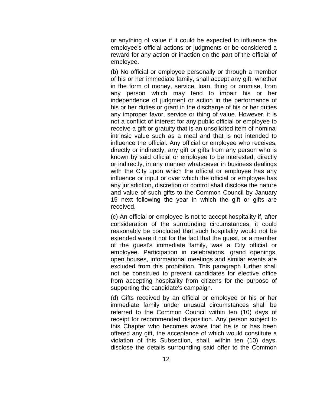or anything of value if it could be expected to influence the employee's official actions or judgments or be considered a reward for any action or inaction on the part of the official of employee.

(b) No official or employee personally or through a member of his or her immediate family, shall accept any gift, whether in the form of money, service, loan, thing or promise, from any person which may tend to impair his or her independence of judgment or action in the performance of his or her duties or grant in the discharge of his or her duties any improper favor, service or thing of value. However, it is not a conflict of interest for any public official or employee to receive a gift or gratuity that is an unsolicited item of nominal intrinsic value such as a meal and that is not intended to influence the official. Any official or employee who receives, directly or indirectly, any gift or gifts from any person who is known by said official or employee to be interested, directly or indirectly, in any manner whatsoever in business dealings with the City upon which the official or employee has any influence or input or over which the official or employee has any jurisdiction, discretion or control shall disclose the nature and value of such gifts to the Common Council by January 15 next following the year in which the gift or gifts are received.

(c) An official or employee is not to accept hospitality if, after consideration of the surrounding circumstances, it could reasonably be concluded that such hospitality would not be extended were it not for the fact that the guest, or a member of the guest's immediate family, was a City official or employee. Participation in celebrations, grand openings, open houses, informational meetings and similar events are excluded from this prohibition. This paragraph further shall not be construed to prevent candidates for elective office from accepting hospitality from citizens for the purpose of supporting the candidate's campaign.

(d) Gifts received by an official or employee or his or her immediate family under unusual circumstances shall be referred to the Common Council within ten (10) days of receipt for recommended disposition. Any person subject to this Chapter who becomes aware that he is or has been offered any gift, the acceptance of which would constitute a violation of this Subsection, shall, within ten (10) days, disclose the details surrounding said offer to the Common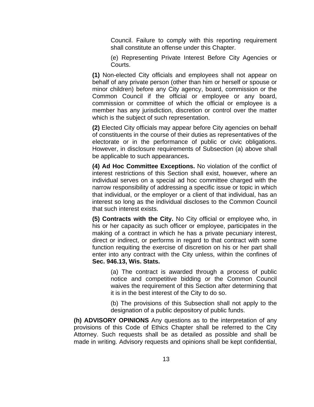Council. Failure to comply with this reporting requirement shall constitute an offense under this Chapter.

(e) Representing Private Interest Before City Agencies or Courts.

**(1)** Non-elected City officials and employees shall not appear on behalf of any private person (other than him or herself or spouse or minor children) before any City agency, board, commission or the Common Council if the official or employee or any board, commission or committee of which the official or employee is a member has any jurisdiction, discretion or control over the matter which is the subject of such representation.

**(2)** Elected City officials may appear before City agencies on behalf of constituents in the course of their duties as representatives of the electorate or in the performance of public or civic obligations. However, in disclosure requirements of Subsection (a) above shall be applicable to such appearances**.**

**(4) Ad Hoc Committee Exceptions.** No violation of the conflict of interest restrictions of this Section shall exist, however, where an individual serves on a special ad hoc committee charged with the narrow responsibility of addressing a specific issue or topic in which that individual, or the employer or a client of that individual, has an interest so long as the individual discloses to the Common Council that such interest exists.

**(5) Contracts with the City.** No City official or employee who, in his or her capacity as such officer or employee, participates in the making of a contract in which he has a private pecuniary interest, direct or indirect, or performs in regard to that contract with some function requiting the exercise of discretion on his or her part shall enter into any contract with the City unless, within the confines of **Sec. 946.13, Wis. Stats.**

(a) The contract is awarded through a process of public notice and competitive bidding or the Common Council waives the requirement of this Section after determining that it is in the best interest of the City to do so.

(b) The provisions of this Subsection shall not apply to the designation of a public depository of public funds.

**(h) ADVISORY OPINIONS** Any questions as to the interpretation of any provisions of this Code of Ethics Chapter shall be referred to the City Attorney. Such requests shall be as detailed as possible and shall be made in writing. Advisory requests and opinions shall be kept confidential,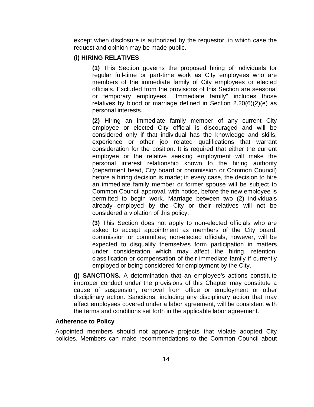except when disclosure is authorized by the requestor, in which case the request and opinion may be made public.

# **(i) HIRING RELATIVES**

**(1)** This Section governs the proposed hiring of individuals for regular full-time or part-time work as City employees who are members of the immediate family of City employees or elected officials. Excluded from the provisions of this Section are seasonal or temporary employees. "Immediate family" includes those relatives by blood or marriage defined in Section 2.20(6)(2)(e) as personal interests.

**(2)** Hiring an immediate family member of any current City employee or elected City official is discouraged and will be considered only if that individual has the knowledge and skills, experience or other job related qualifications that warrant consideration for the position. It is required that either the current employee or the relative seeking employment will make the personal interest relationship known to the hiring authority (department head, City board or commission or Common Council) before a hiring decision is made; in every case, the decision to hire an immediate family member or former spouse will be subject to Common Council approval, with notice, before the new employee is permitted to begin work. Marriage between two (2) individuals already employed by the City or their relatives will not be considered a violation of this policy.

**(3)** This Section does not apply to non-elected officials who are asked to accept appointment as members of the City board, commission or committee; non-elected officials, however, will be expected to disqualify themselves form participation in matters under consideration which may affect the hiring, retention, classification or compensation of their immediate family if currently employed or being considered for employment by the City.

**(j) SANCTIONS.** A determination that an employee's actions constitute improper conduct under the provisions of this Chapter may constitute a cause of suspension, removal from office or employment or other disciplinary action. Sanctions, including any disciplinary action that may affect employees covered under a labor agreement, will be consistent with the terms and conditions set forth in the applicable labor agreement.

## **Adherence to Policy**

Appointed members should not approve projects that violate adopted City policies. Members can make recommendations to the Common Council about